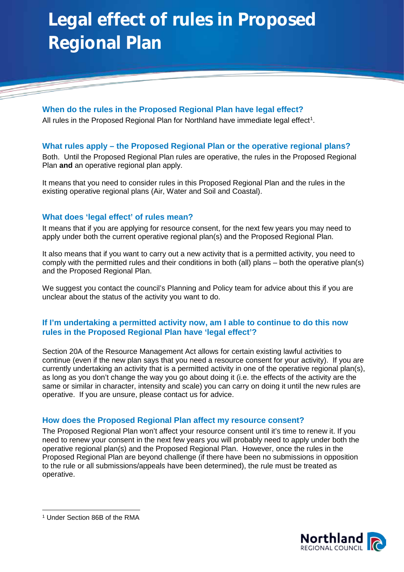# **Legal effect of rules in Proposed Regional Plan**

**When do the rules in the Proposed Regional Plan have legal effect?** All rules in the Proposed Regional Plan for Northland have immediate legal effect<sup>[1](#page-0-0)</sup>.

### **What rules apply – the Proposed Regional Plan or the operative regional plans?**

Both. Until the Proposed Regional Plan rules are operative, the rules in the Proposed Regional Plan **and** an operative regional plan apply.

It means that you need to consider rules in this Proposed Regional Plan and the rules in the existing operative regional plans (Air, Water and Soil and Coastal).

### **What does 'legal effect' of rules mean?**

It means that if you are applying for resource consent, for the next few years you may need to apply under both the current operative regional plan(s) and the Proposed Regional Plan.

It also means that if you want to carry out a new activity that is a permitted activity, you need to comply with the permitted rules and their conditions in both (all) plans – both the operative plan(s) and the Proposed Regional Plan.

We suggest you contact the council's Planning and Policy team for advice about this if you are unclear about the status of the activity you want to do.

#### **If I'm undertaking a permitted activity now, am I able to continue to do this now rules in the Proposed Regional Plan have 'legal effect'?**

Section 20A of the Resource Management Act allows for certain existing lawful activities to continue (even if the new plan says that you need a resource consent for your activity). If you are currently undertaking an activity that is a permitted activity in one of the operative regional plan(s), as long as you don't change the way you go about doing it (i.e. the effects of the activity are the same or similar in character, intensity and scale) you can carry on doing it until the new rules are operative. If you are unsure, please contact us for advice.

#### **How does the Proposed Regional Plan affect my resource consent?**

The Proposed Regional Plan won't affect your resource consent until it's time to renew it. If you need to renew your consent in the next few years you will probably need to apply under both the operative regional plan(s) and the Proposed Regional Plan. However, once the rules in the Proposed Regional Plan are beyond challenge (if there have been no submissions in opposition to the rule or all submissions/appeals have been determined), the rule must be treated as operative.



<span id="page-0-0"></span> <sup>1</sup> Under Section 86B of the RMA